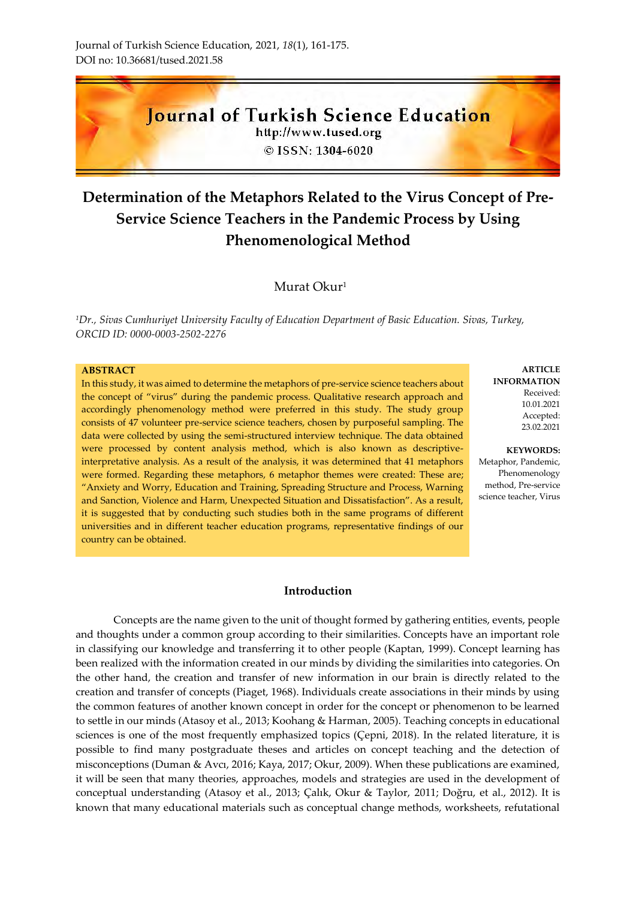

# **Determination of the Metaphors Related to the Virus Concept of Pre-Service Science Teachers in the Pandemic Process by Using Phenomenological Method**

## Murat Okur<sup>1</sup>

*<sup>1</sup>Dr., Sivas Cumhuriyet University Faculty of Education Department of Basic Education. Sivas, Turkey, ORCID ID: 0000-0003-2502-2276*

## **ABSTRACT**

In this study, it was aimed to determine the metaphors of pre-service science teachers about the concept of "virus" during the pandemic process. Qualitative research approach and accordingly phenomenology method were preferred in this study. The study group consists of 47 volunteer pre-service science teachers, chosen by purposeful sampling. The data were collected by using the semi-structured interview technique. The data obtained were processed by content analysis method, which is also known as descriptiveinterpretative analysis. As a result of the analysis, it was determined that 41 metaphors were formed. Regarding these metaphors, 6 metaphor themes were created: These are; "Anxiety and Worry, Education and Training, Spreading Structure and Process, Warning and Sanction, Violence and Harm, Unexpected Situation and Dissatisfaction". As a result, it is suggested that by conducting such studies both in the same programs of different universities and in different teacher education programs, representative findings of our country can be obtained.

#### **Introduction**

Concepts are the name given to the unit of thought formed by gathering entities, events, people and thoughts under a common group according to their similarities. Concepts have an important role in classifying our knowledge and transferring it to other people (Kaptan, 1999). Concept learning has been realized with the information created in our minds by dividing the similarities into categories. On the other hand, the creation and transfer of new information in our brain is directly related to the creation and transfer of concepts (Piaget, 1968). Individuals create associations in their minds by using the common features of another known concept in order for the concept or phenomenon to be learned to settle in our minds (Atasoy et al., 2013; Koohang & Harman, 2005). Teaching concepts in educational sciences is one of the most frequently emphasized topics (Çepni, 2018). In the related literature, it is possible to find many postgraduate theses and articles on concept teaching and the detection of misconceptions (Duman & Avcı, 2016; Kaya, 2017; Okur, 2009). When these publications are examined, it will be seen that many theories, approaches, models and strategies are used in the development of conceptual understanding (Atasoy et al., 2013; Çalık, Okur & Taylor, 2011; Doğru, et al., 2012). It is known that many educational materials such as conceptual change methods, worksheets, refutational

**ARTICLE INFORMATION** Received: 10.01.2021 Accepted: 23.02.2021

**KEYWORDS:** Metaphor, Pandemic, Phenomenology method, Pre-service

science teacher, Virus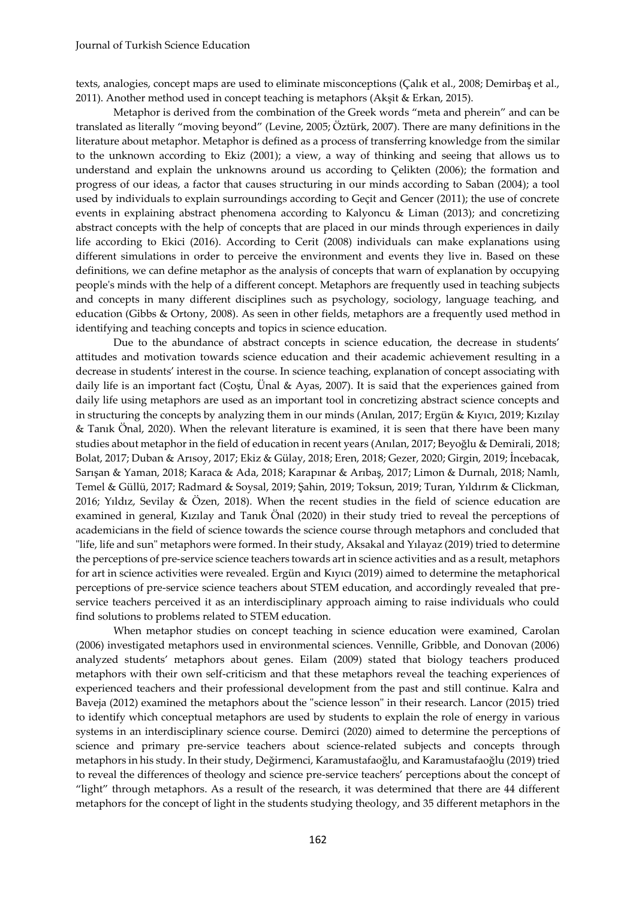texts, analogies, concept maps are used to eliminate misconceptions (Çalık et al., 2008; Demirbaş et al., 2011). Another method used in concept teaching is metaphors (Akşit & Erkan, 2015).

Metaphor is derived from the combination of the Greek words "meta and pherein" and can be translated as literally "moving beyond" (Levine, 2005; Öztürk, 2007). There are many definitions in the literature about metaphor. Metaphor is defined as a process of transferring knowledge from the similar to the unknown according to Ekiz (2001); a view, a way of thinking and seeing that allows us to understand and explain the unknowns around us according to Çelikten (2006); the formation and progress of our ideas, a factor that causes structuring in our minds according to Saban (2004); a tool used by individuals to explain surroundings according to Geçit and Gencer (2011); the use of concrete events in explaining abstract phenomena according to Kalyoncu & Liman (2013); and concretizing abstract concepts with the help of concepts that are placed in our minds through experiences in daily life according to Ekici (2016). According to Cerit (2008) individuals can make explanations using different simulations in order to perceive the environment and events they live in. Based on these definitions, we can define metaphor as the analysis of concepts that warn of explanation by occupying people's minds with the help of a different concept. Metaphors are frequently used in teaching subjects and concepts in many different disciplines such as psychology, sociology, language teaching, and education (Gibbs & Ortony, 2008). As seen in other fields, metaphors are a frequently used method in identifying and teaching concepts and topics in science education.

Due to the abundance of abstract concepts in science education, the decrease in students' attitudes and motivation towards science education and their academic achievement resulting in a decrease in students' interest in the course. In science teaching, explanation of concept associating with daily life is an important fact (Coştu, Ünal & Ayas, 2007). It is said that the experiences gained from daily life using metaphors are used as an important tool in concretizing abstract science concepts and in structuring the concepts by analyzing them in our minds (Anılan, 2017; Ergün & Kıyıcı, 2019; Kızılay & Tanık Önal, 2020). When the relevant literature is examined, it is seen that there have been many studies about metaphor in the field of education in recent years (Anılan, 2017; Beyoğlu & Demirali, 2018; Bolat, 2017; Duban & Arısoy, 2017; Ekiz & Gülay, 2018; Eren, 2018; Gezer, 2020; Girgin, 2019; İncebacak, Sarışan & Yaman, 2018; Karaca & Ada, 2018; Karapınar & Arıbaş, 2017; Limon & Durnalı, 2018; Namlı, Temel & Güllü, 2017; Radmard & Soysal, 2019; Şahin, 2019; Toksun, 2019; Turan, Yıldırım & Clickman, 2016; Yıldız, Sevilay & Özen, 2018). When the recent studies in the field of science education are examined in general, Kızılay and Tanık Önal (2020) in their study tried to reveal the perceptions of academicians in the field of science towards the science course through metaphors and concluded that "life, life and sun" metaphors were formed. In their study, Aksakal and Yılayaz (2019) tried to determine the perceptions of pre-service science teachers towards art in science activities and as a result, metaphors for art in science activities were revealed. Ergün and Kıyıcı (2019) aimed to determine the metaphorical perceptions of pre-service science teachers about STEM education, and accordingly revealed that preservice teachers perceived it as an interdisciplinary approach aiming to raise individuals who could find solutions to problems related to STEM education.

When metaphor studies on concept teaching in science education were examined, Carolan (2006) investigated metaphors used in environmental sciences. Vennille, Gribble, and Donovan (2006) analyzed students' metaphors about genes. Eilam (2009) stated that biology teachers produced metaphors with their own self-criticism and that these metaphors reveal the teaching experiences of experienced teachers and their professional development from the past and still continue. Kalra and Baveja (2012) examined the metaphors about the "science lesson" in their research. Lancor (2015) tried to identify which conceptual metaphors are used by students to explain the role of energy in various systems in an interdisciplinary science course. Demirci (2020) aimed to determine the perceptions of science and primary pre-service teachers about science-related subjects and concepts through metaphors in his study. In their study, Değirmenci, Karamustafaoğlu, and Karamustafaoğlu (2019) tried to reveal the differences of theology and science pre-service teachers' perceptions about the concept of "light" through metaphors. As a result of the research, it was determined that there are 44 different metaphors for the concept of light in the students studying theology, and 35 different metaphors in the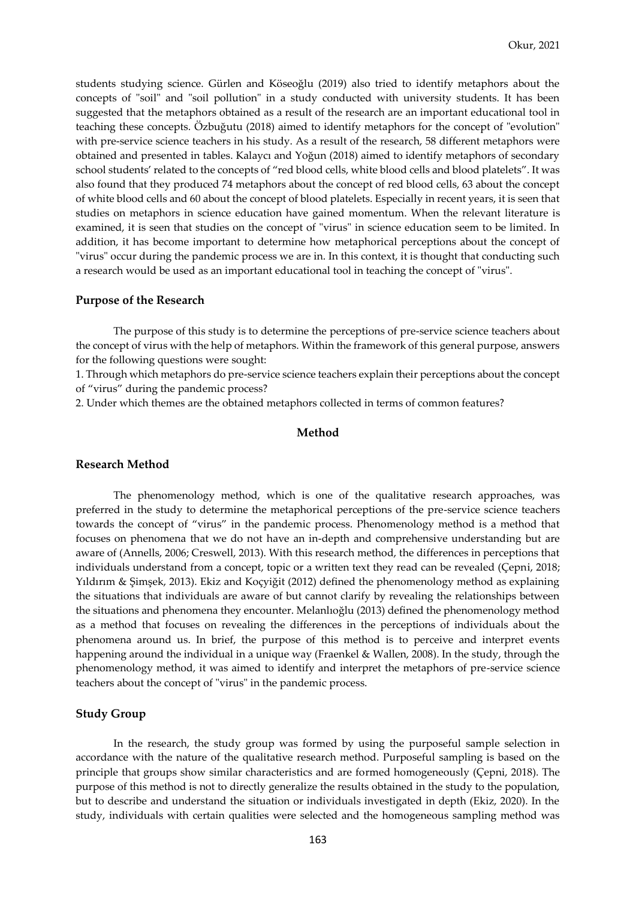students studying science. Gürlen and Köseoğlu (2019) also tried to identify metaphors about the concepts of "soil" and "soil pollution" in a study conducted with university students. It has been suggested that the metaphors obtained as a result of the research are an important educational tool in teaching these concepts. Özbuğutu (2018) aimed to identify metaphors for the concept of "evolution" with pre-service science teachers in his study. As a result of the research, 58 different metaphors were obtained and presented in tables. Kalaycı and Yoğun (2018) aimed to identify metaphors of secondary school students' related to the concepts of "red blood cells, white blood cells and blood platelets". It was also found that they produced 74 metaphors about the concept of red blood cells, 63 about the concept of white blood cells and 60 about the concept of blood platelets. Especially in recent years, it is seen that studies on metaphors in science education have gained momentum. When the relevant literature is examined, it is seen that studies on the concept of "virus" in science education seem to be limited. In addition, it has become important to determine how metaphorical perceptions about the concept of "virus" occur during the pandemic process we are in. In this context, it is thought that conducting such a research would be used as an important educational tool in teaching the concept of "virus".

#### **Purpose of the Research**

The purpose of this study is to determine the perceptions of pre-service science teachers about the concept of virus with the help of metaphors. Within the framework of this general purpose, answers for the following questions were sought:

1. Through which metaphors do pre-service science teachers explain their perceptions about the concept of "virus" during the pandemic process?

2. Under which themes are the obtained metaphors collected in terms of common features?

## **Method**

#### **Research Method**

The phenomenology method, which is one of the qualitative research approaches, was preferred in the study to determine the metaphorical perceptions of the pre-service science teachers towards the concept of "virus" in the pandemic process. Phenomenology method is a method that focuses on phenomena that we do not have an in-depth and comprehensive understanding but are aware of (Annells, 2006; Creswell, 2013). With this research method, the differences in perceptions that individuals understand from a concept, topic or a written text they read can be revealed (Çepni, 2018; Yıldırım & Şimşek, 2013). Ekiz and Koçyiğit (2012) defined the phenomenology method as explaining the situations that individuals are aware of but cannot clarify by revealing the relationships between the situations and phenomena they encounter. Melanlıoğlu (2013) defined the phenomenology method as a method that focuses on revealing the differences in the perceptions of individuals about the phenomena around us. In brief, the purpose of this method is to perceive and interpret events happening around the individual in a unique way (Fraenkel & Wallen, 2008). In the study, through the phenomenology method, it was aimed to identify and interpret the metaphors of pre-service science teachers about the concept of "virus" in the pandemic process.

#### **Study Group**

In the research, the study group was formed by using the purposeful sample selection in accordance with the nature of the qualitative research method. Purposeful sampling is based on the principle that groups show similar characteristics and are formed homogeneously (Çepni, 2018). The purpose of this method is not to directly generalize the results obtained in the study to the population, but to describe and understand the situation or individuals investigated in depth (Ekiz, 2020). In the study, individuals with certain qualities were selected and the homogeneous sampling method was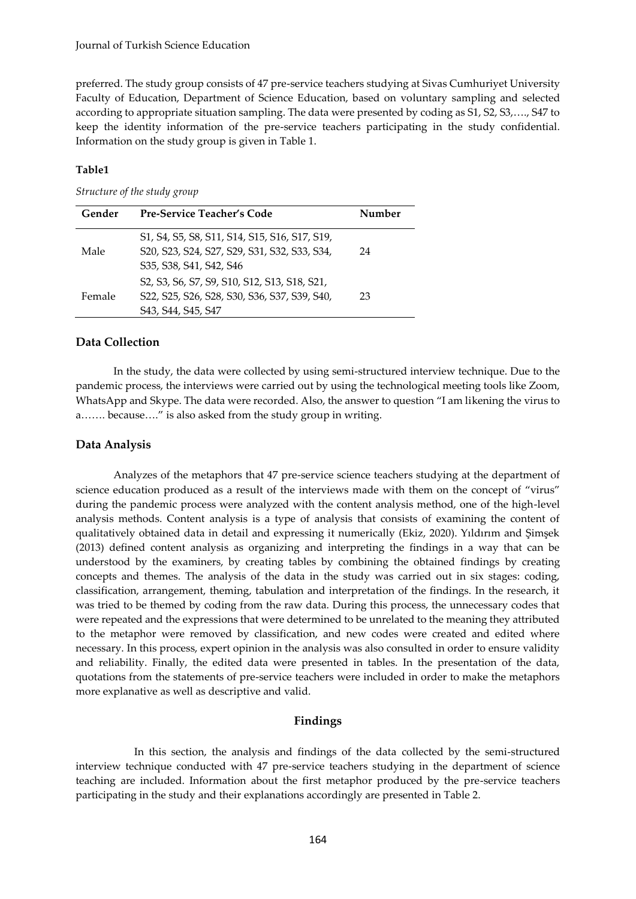preferred. The study group consists of 47 pre-service teachers studying at Sivas Cumhuriyet University Faculty of Education, Department of Science Education, based on voluntary sampling and selected according to appropriate situation sampling. The data were presented by coding as S1, S2, S3,…., S47 to keep the identity information of the pre-service teachers participating in the study confidential. Information on the study group is given in Table 1.

## **Table1**

## *Structure of the study group*

| Gender | <b>Pre-Service Teacher's Code</b>                                                                                        | Number |
|--------|--------------------------------------------------------------------------------------------------------------------------|--------|
| Male   | S1, S4, S5, S8, S11, S14, S15, S16, S17, S19,<br>S20, S23, S24, S27, S29, S31, S32, S33, S34,<br>S35, S38, S41, S42, S46 | 24     |
| Female | S2, S3, S6, S7, S9, S10, S12, S13, S18, S21,<br>S22, S25, S26, S28, S30, S36, S37, S39, S40,<br>S43, S44, S45, S47       | 23     |

## **Data Collection**

In the study, the data were collected by using semi-structured interview technique. Due to the pandemic process, the interviews were carried out by using the technological meeting tools like Zoom, WhatsApp and Skype. The data were recorded. Also, the answer to question "I am likening the virus to a……. because…." is also asked from the study group in writing.

## **Data Analysis**

Analyzes of the metaphors that 47 pre-service science teachers studying at the department of science education produced as a result of the interviews made with them on the concept of "virus" during the pandemic process were analyzed with the content analysis method, one of the high-level analysis methods. Content analysis is a type of analysis that consists of examining the content of qualitatively obtained data in detail and expressing it numerically (Ekiz, 2020). Yıldırım and Şimşek (2013) defined content analysis as organizing and interpreting the findings in a way that can be understood by the examiners, by creating tables by combining the obtained findings by creating concepts and themes. The analysis of the data in the study was carried out in six stages: coding, classification, arrangement, theming, tabulation and interpretation of the findings. In the research, it was tried to be themed by coding from the raw data. During this process, the unnecessary codes that were repeated and the expressions that were determined to be unrelated to the meaning they attributed to the metaphor were removed by classification, and new codes were created and edited where necessary. In this process, expert opinion in the analysis was also consulted in order to ensure validity and reliability. Finally, the edited data were presented in tables. In the presentation of the data, quotations from the statements of pre-service teachers were included in order to make the metaphors more explanative as well as descriptive and valid.

## **Findings**

In this section, the analysis and findings of the data collected by the semi-structured interview technique conducted with 47 pre-service teachers studying in the department of science teaching are included. Information about the first metaphor produced by the pre-service teachers participating in the study and their explanations accordingly are presented in Table 2.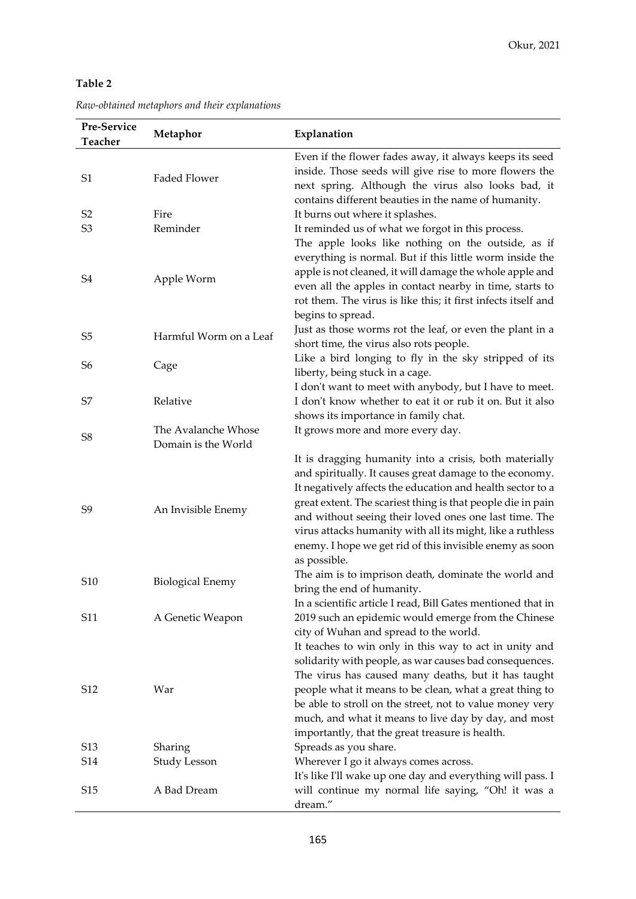# **Table 2**

| Raw-obtained metaphors and their explanations |  |
|-----------------------------------------------|--|
|-----------------------------------------------|--|

| Pre-Service<br><b>Teacher</b> | Metaphor                | Explanation                                                                                                                                                                                                                                                                                                                                                                                                                                        |
|-------------------------------|-------------------------|----------------------------------------------------------------------------------------------------------------------------------------------------------------------------------------------------------------------------------------------------------------------------------------------------------------------------------------------------------------------------------------------------------------------------------------------------|
| S1                            | Faded Flower            | Even if the flower fades away, it always keeps its seed<br>inside. Those seeds will give rise to more flowers the<br>next spring. Although the virus also looks bad, it<br>contains different beauties in the name of humanity.                                                                                                                                                                                                                    |
| S2                            | Fire                    | It burns out where it splashes.                                                                                                                                                                                                                                                                                                                                                                                                                    |
| S3                            | Reminder                | It reminded us of what we forgot in this process.                                                                                                                                                                                                                                                                                                                                                                                                  |
| S4                            | Apple Worm              | The apple looks like nothing on the outside, as if<br>everything is normal. But if this little worm inside the<br>apple is not cleaned, it will damage the whole apple and<br>even all the apples in contact nearby in time, starts to<br>rot them. The virus is like this; it first infects itself and<br>begins to spread.                                                                                                                       |
| S <sub>5</sub>                | Harmful Worm on a Leaf  | Just as those worms rot the leaf, or even the plant in a<br>short time, the virus also rots people.                                                                                                                                                                                                                                                                                                                                                |
| S <sub>6</sub>                | Cage                    | Like a bird longing to fly in the sky stripped of its                                                                                                                                                                                                                                                                                                                                                                                              |
|                               |                         | liberty, being stuck in a cage.                                                                                                                                                                                                                                                                                                                                                                                                                    |
|                               |                         | I don't want to meet with anybody, but I have to meet.                                                                                                                                                                                                                                                                                                                                                                                             |
| S7                            | Relative                | I don't know whether to eat it or rub it on. But it also                                                                                                                                                                                                                                                                                                                                                                                           |
|                               |                         | shows its importance in family chat.                                                                                                                                                                                                                                                                                                                                                                                                               |
| S8                            | The Avalanche Whose     | It grows more and more every day.                                                                                                                                                                                                                                                                                                                                                                                                                  |
|                               | Domain is the World     |                                                                                                                                                                                                                                                                                                                                                                                                                                                    |
| S9                            | An Invisible Enemy      | It is dragging humanity into a crisis, both materially<br>and spiritually. It causes great damage to the economy.<br>It negatively affects the education and health sector to a<br>great extent. The scariest thing is that people die in pain<br>and without seeing their loved ones one last time. The<br>virus attacks humanity with all its might, like a ruthless<br>enemy. I hope we get rid of this invisible enemy as soon<br>as possible. |
| S <sub>10</sub>               | <b>Biological Enemy</b> | The aim is to imprison death, dominate the world and<br>bring the end of humanity.                                                                                                                                                                                                                                                                                                                                                                 |
| S11                           | A Genetic Weapon        | In a scientific article I read, Bill Gates mentioned that in<br>2019 such an epidemic would emerge from the Chinese<br>city of Wuhan and spread to the world.<br>It teaches to win only in this way to act in unity and<br>solidarity with people, as war causes bad consequences.                                                                                                                                                                 |
| S12                           | War                     | The virus has caused many deaths, but it has taught<br>people what it means to be clean, what a great thing to<br>be able to stroll on the street, not to value money very<br>much, and what it means to live day by day, and most<br>importantly, that the great treasure is health.                                                                                                                                                              |
| S <sub>13</sub>               | Sharing                 | Spreads as you share.                                                                                                                                                                                                                                                                                                                                                                                                                              |
| S14                           | Study Lesson            | Wherever I go it always comes across.                                                                                                                                                                                                                                                                                                                                                                                                              |
|                               |                         | It's like I'll wake up one day and everything will pass. I                                                                                                                                                                                                                                                                                                                                                                                         |
| S <sub>15</sub>               | A Bad Dream             | will continue my normal life saying, "Oh! it was a<br>dream."                                                                                                                                                                                                                                                                                                                                                                                      |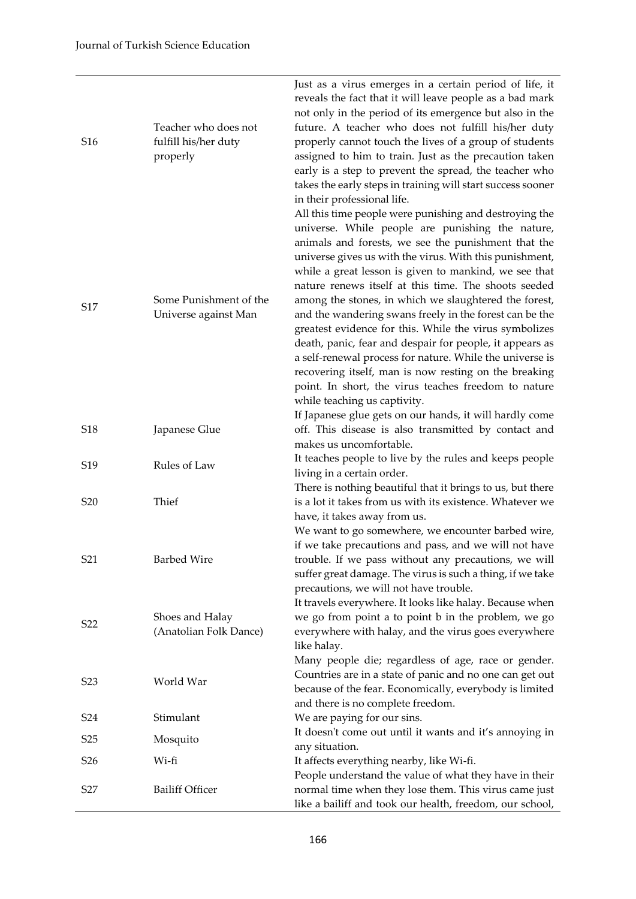| S <sub>16</sub>  | Teacher who does not<br>fulfill his/her duty<br>properly | Just as a virus emerges in a certain period of life, it<br>reveals the fact that it will leave people as a bad mark<br>not only in the period of its emergence but also in the<br>future. A teacher who does not fulfill his/her duty<br>properly cannot touch the lives of a group of students<br>assigned to him to train. Just as the precaution taken<br>early is a step to prevent the spread, the teacher who<br>takes the early steps in training will start success sooner<br>in their professional life.                                                                                                                                                                                                                                                                                    |
|------------------|----------------------------------------------------------|------------------------------------------------------------------------------------------------------------------------------------------------------------------------------------------------------------------------------------------------------------------------------------------------------------------------------------------------------------------------------------------------------------------------------------------------------------------------------------------------------------------------------------------------------------------------------------------------------------------------------------------------------------------------------------------------------------------------------------------------------------------------------------------------------|
| S17              | Some Punishment of the<br>Universe against Man           | All this time people were punishing and destroying the<br>universe. While people are punishing the nature,<br>animals and forests, we see the punishment that the<br>universe gives us with the virus. With this punishment,<br>while a great lesson is given to mankind, we see that<br>nature renews itself at this time. The shoots seeded<br>among the stones, in which we slaughtered the forest,<br>and the wandering swans freely in the forest can be the<br>greatest evidence for this. While the virus symbolizes<br>death, panic, fear and despair for people, it appears as<br>a self-renewal process for nature. While the universe is<br>recovering itself, man is now resting on the breaking<br>point. In short, the virus teaches freedom to nature<br>while teaching us captivity. |
| S18              | Japanese Glue                                            | If Japanese glue gets on our hands, it will hardly come<br>off. This disease is also transmitted by contact and<br>makes us uncomfortable.                                                                                                                                                                                                                                                                                                                                                                                                                                                                                                                                                                                                                                                           |
| S <sub>19</sub>  | Rules of Law                                             | It teaches people to live by the rules and keeps people<br>living in a certain order.                                                                                                                                                                                                                                                                                                                                                                                                                                                                                                                                                                                                                                                                                                                |
| S <sub>20</sub>  | Thief                                                    | There is nothing beautiful that it brings to us, but there<br>is a lot it takes from us with its existence. Whatever we<br>have, it takes away from us.                                                                                                                                                                                                                                                                                                                                                                                                                                                                                                                                                                                                                                              |
| S21              | <b>Barbed Wire</b>                                       | We want to go somewhere, we encounter barbed wire,<br>if we take precautions and pass, and we will not have<br>trouble. If we pass without any precautions, we will<br>suffer great damage. The virus is such a thing, if we take<br>precautions, we will not have trouble.                                                                                                                                                                                                                                                                                                                                                                                                                                                                                                                          |
| S <sub>22</sub>  | Shoes and Halay<br>(Anatolian Folk Dance)                | It travels everywhere. It looks like halay. Because when<br>we go from point a to point b in the problem, we go<br>everywhere with halay, and the virus goes everywhere<br>like halay.<br>Many people die; regardless of age, race or gender.                                                                                                                                                                                                                                                                                                                                                                                                                                                                                                                                                        |
| S <sub>2</sub> 3 | World War                                                | Countries are in a state of panic and no one can get out<br>because of the fear. Economically, everybody is limited                                                                                                                                                                                                                                                                                                                                                                                                                                                                                                                                                                                                                                                                                  |
| S <sub>24</sub>  | Stimulant                                                | and there is no complete freedom.<br>We are paying for our sins.                                                                                                                                                                                                                                                                                                                                                                                                                                                                                                                                                                                                                                                                                                                                     |
| S <sub>25</sub>  | Mosquito                                                 | It doesn't come out until it wants and it's annoying in                                                                                                                                                                                                                                                                                                                                                                                                                                                                                                                                                                                                                                                                                                                                              |
| S <sub>26</sub>  | Wi-fi                                                    | any situation.<br>It affects everything nearby, like Wi-fi.                                                                                                                                                                                                                                                                                                                                                                                                                                                                                                                                                                                                                                                                                                                                          |
| S27              | <b>Bailiff Officer</b>                                   | People understand the value of what they have in their<br>normal time when they lose them. This virus came just<br>like a bailiff and took our health, freedom, our school,                                                                                                                                                                                                                                                                                                                                                                                                                                                                                                                                                                                                                          |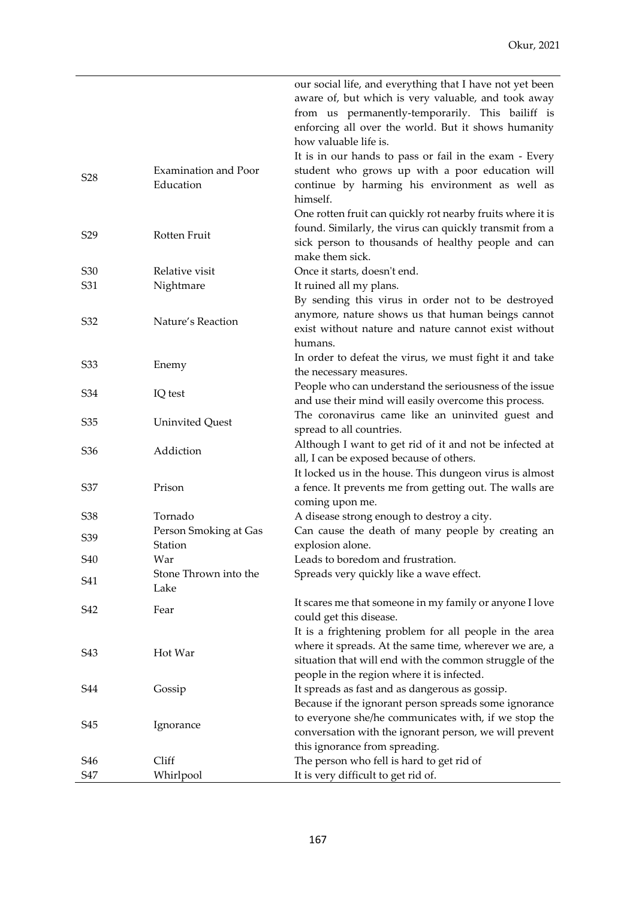|                                                                          | our social life, and everything that I have not yet been                                                      |
|--------------------------------------------------------------------------|---------------------------------------------------------------------------------------------------------------|
|                                                                          | aware of, but which is very valuable, and took away                                                           |
|                                                                          | from us permanently-temporarily. This bailiff is                                                              |
|                                                                          | enforcing all over the world. But it shows humanity                                                           |
| how valuable life is.                                                    |                                                                                                               |
|                                                                          | It is in our hands to pass or fail in the exam - Every                                                        |
| Examination and Poor<br>S <sub>28</sub>                                  | student who grows up with a poor education will                                                               |
| Education                                                                | continue by harming his environment as well as                                                                |
| himself.                                                                 |                                                                                                               |
|                                                                          | One rotten fruit can quickly rot nearby fruits where it is                                                    |
| S <sub>29</sub><br>Rotten Fruit                                          | found. Similarly, the virus can quickly transmit from a                                                       |
| make them sick.                                                          | sick person to thousands of healthy people and can                                                            |
| Relative visit                                                           |                                                                                                               |
| S <sub>30</sub><br>Once it starts, doesn't end.<br>S31                   |                                                                                                               |
| Nightmare<br>It ruined all my plans.                                     | By sending this virus in order not to be destroyed                                                            |
|                                                                          | anymore, nature shows us that human beings cannot                                                             |
| S32<br>Nature's Reaction                                                 | exist without nature and nature cannot exist without                                                          |
| humans.                                                                  |                                                                                                               |
|                                                                          | In order to defeat the virus, we must fight it and take                                                       |
| S33<br>Enemy<br>the necessary measures.                                  |                                                                                                               |
|                                                                          | People who can understand the seriousness of the issue                                                        |
| S34<br>IQ test                                                           | and use their mind will easily overcome this process.                                                         |
|                                                                          | The coronavirus came like an uninvited guest and                                                              |
| S35<br><b>Uninvited Quest</b><br>spread to all countries.                |                                                                                                               |
|                                                                          | Although I want to get rid of it and not be infected at                                                       |
| Addiction<br>S <sub>36</sub><br>all, I can be exposed because of others. |                                                                                                               |
|                                                                          | It locked us in the house. This dungeon virus is almost                                                       |
| S37<br>Prison                                                            | a fence. It prevents me from getting out. The walls are                                                       |
| coming upon me.                                                          |                                                                                                               |
| Tornado<br>S38<br>A disease strong enough to destroy a city.             |                                                                                                               |
| Person Smoking at Gas<br>S39                                             | Can cause the death of many people by creating an                                                             |
| Station<br>explosion alone.                                              |                                                                                                               |
| <b>S40</b><br>Leads to boredom and frustration.<br>War                   |                                                                                                               |
| Stone Thrown into the<br>Spreads very quickly like a wave effect.<br>S41 |                                                                                                               |
| Lake                                                                     |                                                                                                               |
| S42<br>Fear                                                              | It scares me that someone in my family or anyone I love                                                       |
| could get this disease.                                                  |                                                                                                               |
|                                                                          | It is a frightening problem for all people in the area                                                        |
| S43<br>Hot War                                                           | where it spreads. At the same time, wherever we are, a                                                        |
|                                                                          | situation that will end with the common struggle of the                                                       |
| people in the region where it is infected.<br><b>S44</b>                 |                                                                                                               |
| It spreads as fast and as dangerous as gossip.<br>Gossip                 |                                                                                                               |
|                                                                          | Because if the ignorant person spreads some ignorance<br>to everyone she/he communicates with, if we stop the |
| S45<br>Ignorance                                                         | conversation with the ignorant person, we will prevent                                                        |
| this ignorance from spreading.                                           |                                                                                                               |
|                                                                          |                                                                                                               |
| The person who fell is hard to get rid of<br>S46<br>Cliff                |                                                                                                               |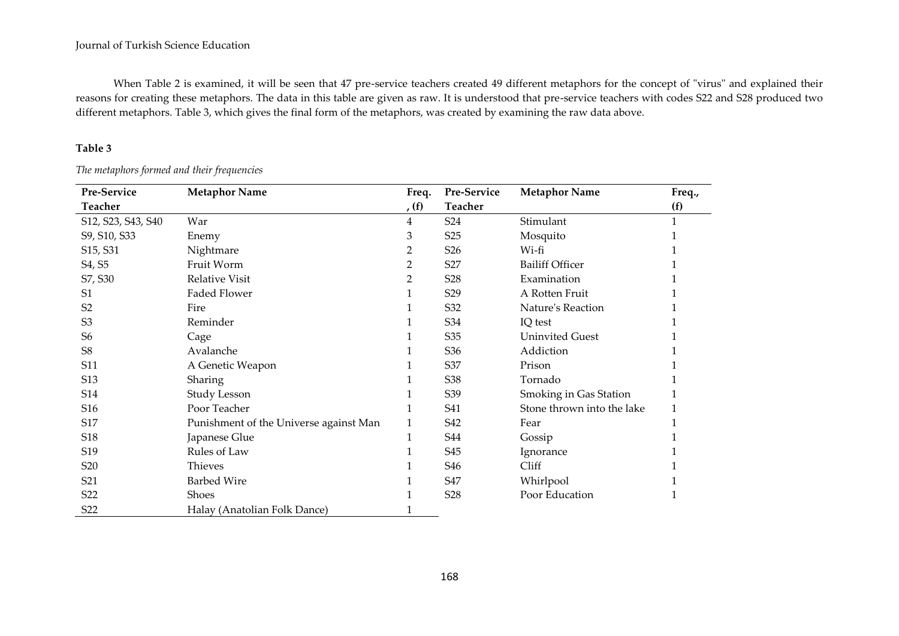When Table 2 is examined, it will be seen that 47 pre-service teachers created 49 different metaphors for the concept of "virus" and explained their reasons for creating these metaphors. The data in this table are given as raw. It is understood that pre-service teachers with codes S22 and S28 produced two different metaphors. Table 3, which gives the final form of the metaphors, was created by examining the raw data above.

# **Table 3**

| Pre-Service                       | <b>Metaphor Name</b>                   | Freq. | Pre-Service     | <b>Metaphor Name</b>       | Freq., |
|-----------------------------------|----------------------------------------|-------|-----------------|----------------------------|--------|
| <b>Teacher</b>                    |                                        | (f)   | <b>Teacher</b>  |                            | (f)    |
| S12, S23, S43, S40                | War                                    | 4     | S <sub>24</sub> | Stimulant                  | 1      |
| S9, S10, S33                      | Enemy                                  | 3     | S <sub>25</sub> | Mosquito                   |        |
| S <sub>15</sub> , S <sub>31</sub> | Nightmare                              | 2     | S <sub>26</sub> | Wi-fi                      |        |
| S4, S5                            | Fruit Worm                             | 2     | S27             | <b>Bailiff Officer</b>     |        |
| S7, S30                           | <b>Relative Visit</b>                  | 2     | S <sub>28</sub> | Examination                |        |
| S1                                | <b>Faded Flower</b>                    |       | S <sub>29</sub> | A Rotten Fruit             |        |
| S <sub>2</sub>                    | Fire                                   |       | S32             | Nature's Reaction          |        |
| S <sub>3</sub>                    | Reminder                               |       | S34             | IQ test                    |        |
| S <sub>6</sub>                    | Cage                                   |       | S35             | <b>Uninvited Guest</b>     |        |
| S <sub>8</sub>                    | Avalanche                              |       | S <sub>36</sub> | Addiction                  |        |
| S11                               | A Genetic Weapon                       |       | S37             | Prison                     |        |
| S13                               | Sharing                                |       | S38             | Tornado                    |        |
| S14                               | <b>Study Lesson</b>                    |       | S39             | Smoking in Gas Station     |        |
| S16                               | Poor Teacher                           |       | S41             | Stone thrown into the lake |        |
| S17                               | Punishment of the Universe against Man |       | S42             | Fear                       |        |
| S18                               | Japanese Glue                          | 1     | <b>S44</b>      | Gossip                     |        |
| S19                               | Rules of Law                           |       | S45             | Ignorance                  |        |
| S <sub>20</sub>                   | Thieves                                |       | S46             | Cliff                      |        |
| S21                               | <b>Barbed Wire</b>                     |       | S47             | Whirlpool                  |        |
| S <sub>22</sub>                   | <b>Shoes</b>                           |       | S <sub>28</sub> | Poor Education             |        |
| S <sub>22</sub>                   | Halay (Anatolian Folk Dance)           |       |                 |                            |        |

*The metaphors formed and their frequencies*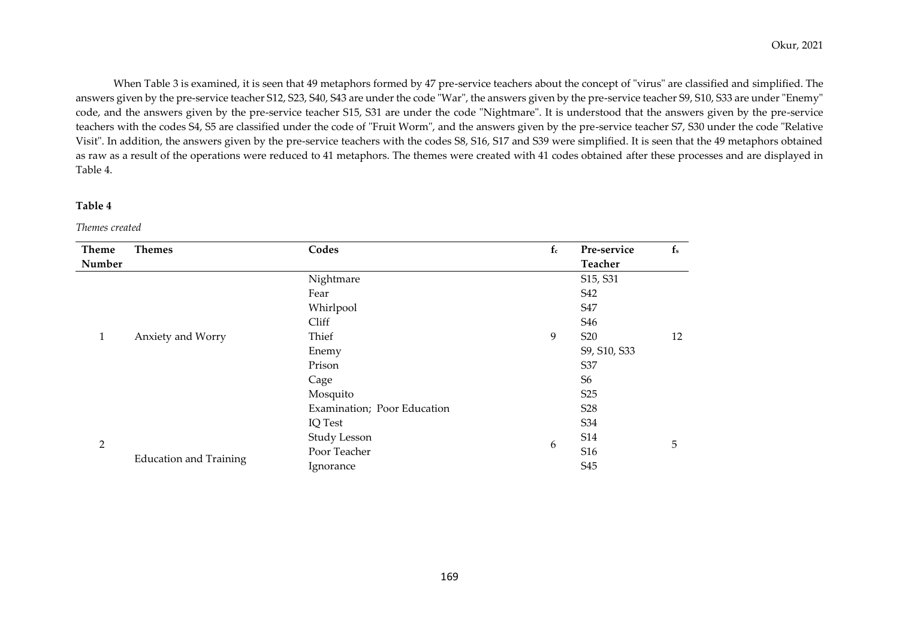When Table 3 is examined, it is seen that 49 metaphors formed by 47 pre-service teachers about the concept of "virus" are classified and simplified. The answers given by the pre-service teacher S12, S23, S40, S43 are under the code "War", the answers given by the pre-service teacher S9, S10, S33 are under "Enemy" code, and the answers given by the pre-service teacher S15, S31 are under the code "Nightmare". It is understood that the answers given by the pre-service teachers with the codes S4, S5 are classified under the code of "Fruit Worm", and the answers given by the pre-service teacher S7, S30 under the code "Relative Visit". In addition, the answers given by the pre-service teachers with the codes S8, S16, S17 and S39 were simplified. It is seen that the 49 metaphors obtained as raw as a result of the operations were reduced to 41 metaphors. The themes were created with 41 codes obtained after these processes and are displayed in Table 4.

## **Table 4**

*Themes created*

| <b>Theme</b>   | <b>Themes</b>                 | Codes                       | $f_c$ | Pre-service     | $f_s$ |
|----------------|-------------------------------|-----------------------------|-------|-----------------|-------|
| Number         |                               |                             |       | Teacher         |       |
|                |                               | Nightmare                   |       | S15, S31        |       |
|                | Anxiety and Worry             | Fear                        |       | S42             |       |
|                |                               | Whirlpool                   |       | S47             |       |
|                |                               | Cliff                       |       | S46             |       |
| 1              |                               | Thief                       | 9     | S <sub>20</sub> | 12    |
|                |                               | Enemy                       |       | S9, S10, S33    |       |
|                |                               | Prison                      |       | S37             |       |
|                |                               | Cage                        |       | S <sub>6</sub>  |       |
|                |                               | Mosquito                    |       | S <sub>25</sub> |       |
|                |                               | Examination; Poor Education |       | S <sub>28</sub> |       |
|                |                               | IQ Test                     |       | S34             |       |
|                |                               | Study Lesson                |       | <b>S14</b>      |       |
| $\overline{2}$ | <b>Education and Training</b> | Poor Teacher                | 6     | S16             | 5     |
|                |                               | Ignorance                   |       | S45             |       |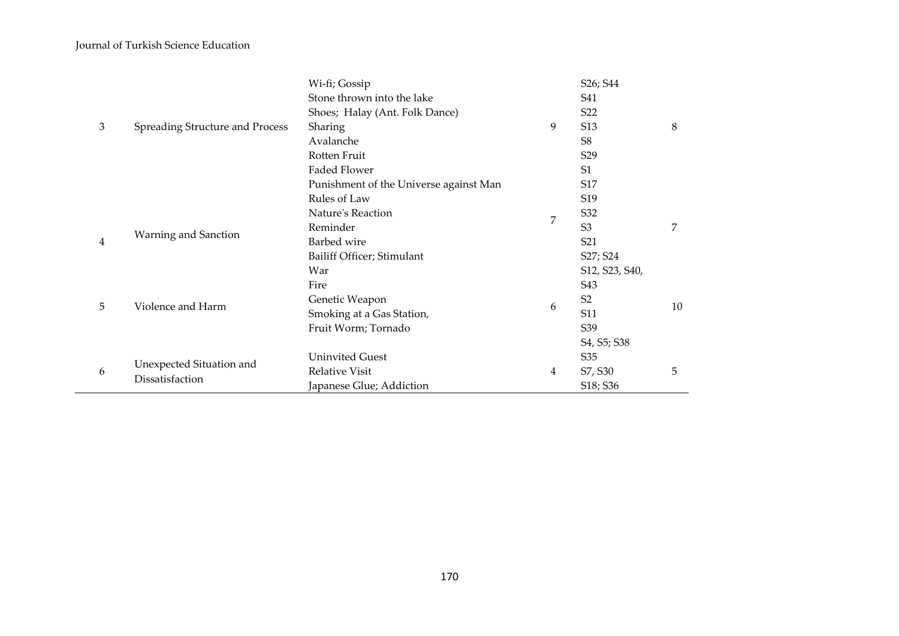|   |                                             | Wi-fi; Gossip                          |   | S26; S44                                          |    |
|---|---------------------------------------------|----------------------------------------|---|---------------------------------------------------|----|
|   |                                             | Stone thrown into the lake             |   | S41                                               |    |
|   |                                             | Shoes; Halay (Ant. Folk Dance)         |   | S <sub>22</sub>                                   |    |
| 3 | <b>Spreading Structure and Process</b>      | Sharing                                | 9 | S13                                               | 8  |
|   |                                             | Avalanche                              |   | S <sub>8</sub>                                    |    |
|   |                                             | Rotten Fruit                           |   | S <sub>29</sub>                                   |    |
|   |                                             | Faded Flower                           |   | S <sub>1</sub>                                    |    |
|   |                                             | Punishment of the Universe against Man |   | S17                                               |    |
|   |                                             | Rules of Law                           |   | S19                                               |    |
|   |                                             | Nature's Reaction                      | 7 | S32                                               |    |
|   |                                             | Reminder                               |   | S <sub>3</sub>                                    | 7  |
| 4 | Warning and Sanction                        | Barbed wire                            |   | S21                                               |    |
|   |                                             | Bailiff Officer; Stimulant             |   | S27; S24                                          |    |
|   |                                             | War                                    |   | S12, S23, S40,                                    |    |
|   |                                             | Fire                                   |   | S43                                               |    |
| 5 | Violence and Harm                           | Genetic Weapon                         | 6 | S <sub>2</sub>                                    | 10 |
|   |                                             | Smoking at a Gas Station,              |   | S11                                               |    |
|   |                                             | Fruit Worm; Tornado                    |   | S39                                               |    |
|   |                                             |                                        |   | S <sub>4</sub> , S <sub>5</sub> ; S <sub>38</sub> |    |
|   |                                             | <b>Uninvited Guest</b>                 |   | S35                                               |    |
| 6 | Unexpected Situation and<br>Dissatisfaction | Relative Visit                         | 4 | S7, S30                                           | 5  |
|   |                                             | Japanese Glue; Addiction               |   | S <sub>18</sub> ; S <sub>36</sub>                 |    |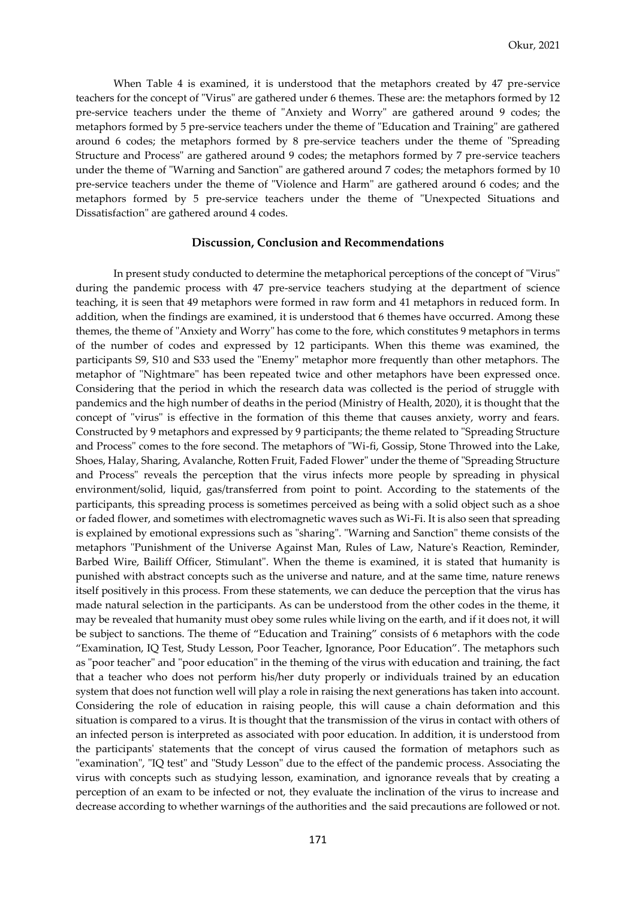When Table 4 is examined, it is understood that the metaphors created by 47 pre-service teachers for the concept of "Virus" are gathered under 6 themes. These are: the metaphors formed by 12 pre-service teachers under the theme of "Anxiety and Worry" are gathered around 9 codes; the metaphors formed by 5 pre-service teachers under the theme of "Education and Training" are gathered around 6 codes; the metaphors formed by 8 pre-service teachers under the theme of "Spreading Structure and Process" are gathered around 9 codes; the metaphors formed by 7 pre-service teachers under the theme of "Warning and Sanction" are gathered around 7 codes; the metaphors formed by 10 pre-service teachers under the theme of "Violence and Harm" are gathered around 6 codes; and the metaphors formed by 5 pre-service teachers under the theme of "Unexpected Situations and Dissatisfaction" are gathered around 4 codes.

## **Discussion, Conclusion and Recommendations**

In present study conducted to determine the metaphorical perceptions of the concept of "Virus" during the pandemic process with 47 pre-service teachers studying at the department of science teaching, it is seen that 49 metaphors were formed in raw form and 41 metaphors in reduced form. In addition, when the findings are examined, it is understood that 6 themes have occurred. Among these themes, the theme of "Anxiety and Worry" has come to the fore, which constitutes 9 metaphors in terms of the number of codes and expressed by 12 participants. When this theme was examined, the participants S9, S10 and S33 used the "Enemy" metaphor more frequently than other metaphors. The metaphor of "Nightmare" has been repeated twice and other metaphors have been expressed once. Considering that the period in which the research data was collected is the period of struggle with pandemics and the high number of deaths in the period (Ministry of Health, 2020), it is thought that the concept of "virus" is effective in the formation of this theme that causes anxiety, worry and fears. Constructed by 9 metaphors and expressed by 9 participants; the theme related to "Spreading Structure and Process" comes to the fore second. The metaphors of "Wi-fi, Gossip, Stone Throwed into the Lake, Shoes, Halay, Sharing, Avalanche, Rotten Fruit, Faded Flower" under the theme of "Spreading Structure and Process" reveals the perception that the virus infects more people by spreading in physical environment/solid, liquid, gas/transferred from point to point. According to the statements of the participants, this spreading process is sometimes perceived as being with a solid object such as a shoe or faded flower, and sometimes with electromagnetic waves such as Wi-Fi. It is also seen that spreading is explained by emotional expressions such as "sharing". "Warning and Sanction" theme consists of the metaphors "Punishment of the Universe Against Man, Rules of Law, Nature's Reaction, Reminder, Barbed Wire, Bailiff Officer, Stimulant". When the theme is examined, it is stated that humanity is punished with abstract concepts such as the universe and nature, and at the same time, nature renews itself positively in this process. From these statements, we can deduce the perception that the virus has made natural selection in the participants. As can be understood from the other codes in the theme, it may be revealed that humanity must obey some rules while living on the earth, and if it does not, it will be subject to sanctions. The theme of "Education and Training" consists of 6 metaphors with the code "Examination, IQ Test, Study Lesson, Poor Teacher, Ignorance, Poor Education". The metaphors such as "poor teacher" and "poor education" in the theming of the virus with education and training, the fact that a teacher who does not perform his/her duty properly or individuals trained by an education system that does not function well will play a role in raising the next generations has taken into account. Considering the role of education in raising people, this will cause a chain deformation and this situation is compared to a virus. It is thought that the transmission of the virus in contact with others of an infected person is interpreted as associated with poor education. In addition, it is understood from the participants' statements that the concept of virus caused the formation of metaphors such as "examination", "IQ test" and "Study Lesson" due to the effect of the pandemic process. Associating the virus with concepts such as studying lesson, examination, and ignorance reveals that by creating a perception of an exam to be infected or not, they evaluate the inclination of the virus to increase and decrease according to whether warnings of the authorities and the said precautions are followed or not.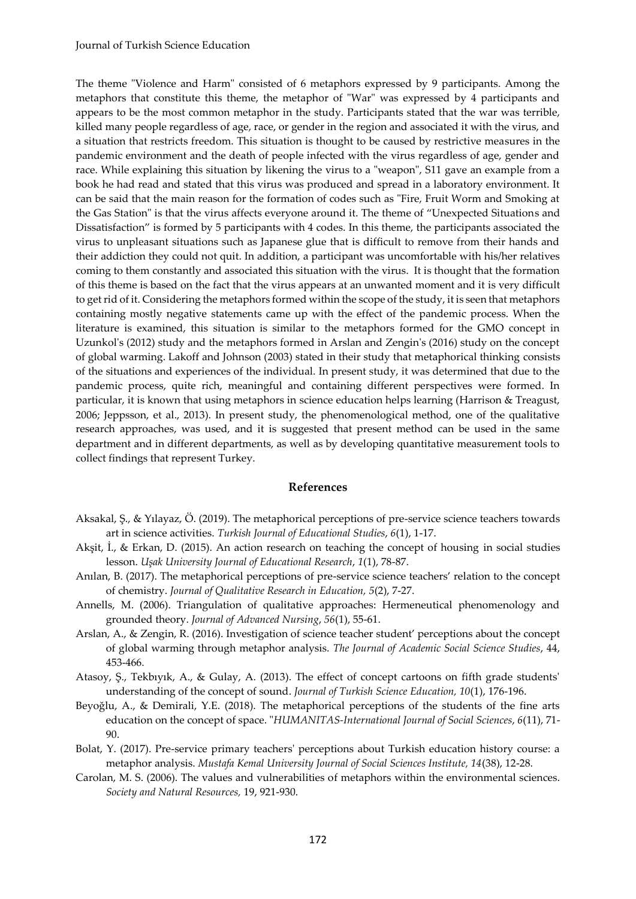The theme "Violence and Harm" consisted of 6 metaphors expressed by 9 participants. Among the metaphors that constitute this theme, the metaphor of "War" was expressed by 4 participants and appears to be the most common metaphor in the study. Participants stated that the war was terrible, killed many people regardless of age, race, or gender in the region and associated it with the virus, and a situation that restricts freedom. This situation is thought to be caused by restrictive measures in the pandemic environment and the death of people infected with the virus regardless of age, gender and race. While explaining this situation by likening the virus to a "weapon", S11 gave an example from a book he had read and stated that this virus was produced and spread in a laboratory environment. It can be said that the main reason for the formation of codes such as "Fire, Fruit Worm and Smoking at the Gas Station" is that the virus affects everyone around it. The theme of "Unexpected Situations and Dissatisfaction" is formed by 5 participants with 4 codes. In this theme, the participants associated the virus to unpleasant situations such as Japanese glue that is difficult to remove from their hands and their addiction they could not quit. In addition, a participant was uncomfortable with his/her relatives coming to them constantly and associated this situation with the virus. It is thought that the formation of this theme is based on the fact that the virus appears at an unwanted moment and it is very difficult to get rid of it. Considering the metaphors formed within the scope of the study, it is seen that metaphors containing mostly negative statements came up with the effect of the pandemic process. When the literature is examined, this situation is similar to the metaphors formed for the GMO concept in Uzunkol's (2012) study and the metaphors formed in Arslan and Zengin's (2016) study on the concept of global warming. Lakoff and Johnson (2003) stated in their study that metaphorical thinking consists of the situations and experiences of the individual. In present study, it was determined that due to the pandemic process, quite rich, meaningful and containing different perspectives were formed. In particular, it is known that using metaphors in science education helps learning (Harrison & Treagust, 2006; Jeppsson, et al., 2013). In present study, the phenomenological method, one of the qualitative research approaches, was used, and it is suggested that present method can be used in the same department and in different departments, as well as by developing quantitative measurement tools to collect findings that represent Turkey.

#### **References**

- Aksakal, Ş., & Yılayaz, Ö. (2019). The metaphorical perceptions of pre-service science teachers towards art in science activities. *Turkish Journal of Educational Studies*, *6*(1), 1-17.
- Akşit, İ., & Erkan, D. (2015). An action research on teaching the concept of housing in social studies lesson. *Uşak University Journal of Educational Research*, *1*(1), 78-87.
- Anılan, B. (2017). The metaphorical perceptions of pre-service science teachers' relation to the concept of chemistry. *Journal of Qualitative Research in Education, 5*(2), 7-27.
- Annells, M. (2006). Triangulation of qualitative approaches: Hermeneutical phenomenology and grounded theory. *Journal of Advanced Nursing*, *56*(1), 55-61.
- Arslan, A., & Zengin, R. (2016). Investigation of science teacher student' perceptions about the concept of global warming through metaphor analysis. *The Journal of Academic Social Science Studies*, 44, 453-466.
- Atasoy, Ş., Tekbıyık, A., & Gulay, A. (2013). The effect of concept cartoons on fifth grade students' understanding of the concept of sound. *Journal of Turkish Science Education, 10*(1), 176-196.
- Beyoğlu, A., & Demirali, Y.E. (2018). The metaphorical perceptions of the students of the fine arts education on the concept of space. "*HUMANITAS-International Journal of Social Sciences*, *6*(11), 71- 90.
- Bolat, Y. (2017). Pre-service primary teachers' perceptions about Turkish education history course: a metaphor analysis. *Mustafa Kemal University Journal of Social Sciences Institute, 14*(38), 12-28.
- Carolan, M. S. (2006). The values and vulnerabilities of metaphors within the environmental sciences. *Society and Natural Resources,* 19, 921-930.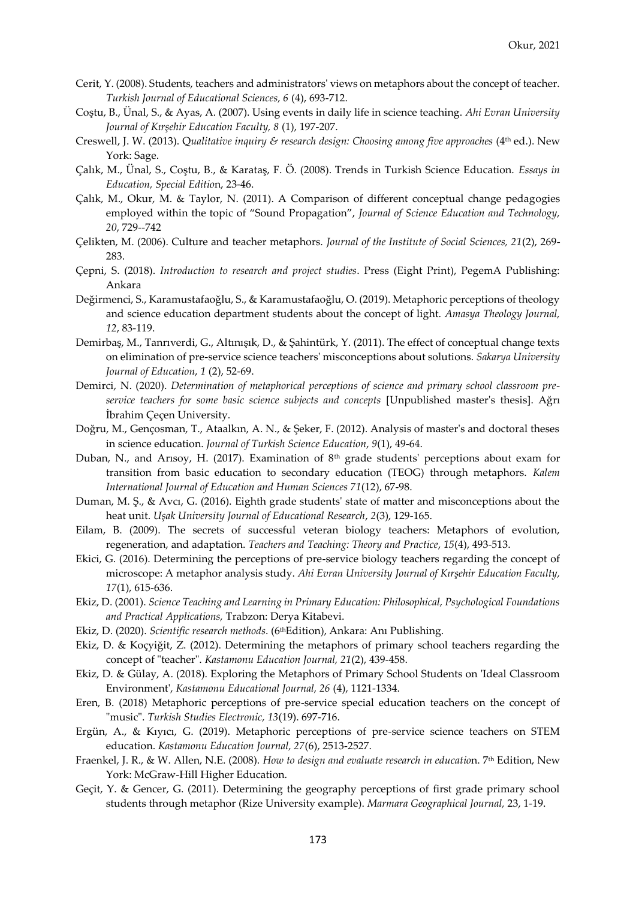- Cerit, Y. (2008). Students, teachers and administrators' views on metaphors about the concept of teacher. *Turkish Journal of Educational Sciences, 6* (4), 693-712.
- Coştu, B., Ünal, S., & Ayas, A. (2007). Using events in daily life in science teaching. *Ahi Evran University Journal of Kırşehir Education Faculty, 8* (1), 197-207.
- Creswell, J. W. (2013). Qualitative inquiry & research design: Choosing among five approaches (4<sup>th</sup> ed.). New York: Sage.
- Çalık, M., Ünal, S., Coştu, B., & Karataş, F. Ö. (2008). Trends in Turkish Science Education. *Essays in Education, Special Editio*n, 23-46.
- Çalık, M., Okur, M. & Taylor, N. (2011). A Comparison of different conceptual change pedagogies employed within the topic of "Sound Propagation", *Journal of Science Education and Technology, 20*, 729--742
- Çelikten, M. (2006). Culture and teacher metaphors. *Journal of the Institute of Social Sciences, 21*(2), 269- 283.
- Çepni, S. (2018). *Introduction to research and project studies*. Press (Eight Print), PegemA Publishing: Ankara
- Değirmenci, S., Karamustafaoğlu, S., & Karamustafaoğlu, O. (2019). Metaphoric perceptions of theology and science education department students about the concept of light. *Amasya Theology Journal, 12*, 83-119.
- Demirbaş, M., Tanrıverdi, G., Altınışık, D., & Şahintürk, Y. (2011). The effect of conceptual change texts on elimination of pre-service science teachers' misconceptions about solutions. *Sakarya University Journal of Education*, *1* (2), 52-69.
- Demirci, N. (2020). *Determination of metaphorical perceptions of science and primary school classroom preservice teachers for some basic science subjects and concepts* [Unpublished master's thesis]. Ağrı İbrahim Çeçen University.
- Doğru, M., Gençosman, T., Ataalkın, A. N., & Şeker, F. (2012). Analysis of master's and doctoral theses in science education. *Journal of Turkish Science Education*, *9*(1), 49-64.
- Duban, N., and Arısoy, H. (2017). Examination of  $8<sup>th</sup>$  grade students' perceptions about exam for transition from basic education to secondary education (TEOG) through metaphors. *Kalem International Journal of Education and Human Sciences 71*(12), 67-98.
- Duman, M. Ş., & Avcı, G. (2016). Eighth grade students' state of matter and misconceptions about the heat unit. *Uşak University Journal of Educational Research*, *2*(3), 129-165.
- Eilam, B. (2009). The secrets of successful veteran biology teachers: Metaphors of evolution, regeneration, and adaptation. *Teachers and Teaching: Theory and Practice*, *15*(4), 493-513.
- Ekici, G. (2016). Determining the perceptions of pre-service biology teachers regarding the concept of microscope: A metaphor analysis study. *Ahi Evran University Journal of Kırşehir Education Faculty, 17*(1), 615-636.
- Ekiz, D. (2001). *Science Teaching and Learning in Primary Education: Philosophical, Psychological Foundations and Practical Applications,* Trabzon: Derya Kitabevi.
- Ekiz, D. (2020). *Scientific research methods*. (6thEdition), Ankara: Anı Publishing.
- Ekiz, D. & Koçyiğit, Z. (2012). Determining the metaphors of primary school teachers regarding the concept of "teacher". *Kastamonu Education Journal, 21*(2), 439-458.
- Ekiz, D. & Gülay, A. (2018). Exploring the Metaphors of Primary School Students on 'Ideal Classroom Environment', *Kastamonu Educational Journal, 26* (4), 1121-1334.
- Eren, B. (2018) Metaphoric perceptions of pre-service special education teachers on the concept of "music". *Turkish Studies Electronic, 13*(19). 697-716.
- Ergün, A., & Kıyıcı, G. (2019). Metaphoric perceptions of pre-service science teachers on STEM education. *Kastamonu Education Journal, 27*(6), 2513-2527.
- Fraenkel, J. R., & W. Allen, N.E. (2008). *How to design and evaluate research in education*. 7<sup>th</sup> Edition, New York: McGraw-Hill Higher Education.
- Geçit, Y. & Gencer, G. (2011). Determining the geography perceptions of first grade primary school students through metaphor (Rize University example). *Marmara Geographical Journal,* 23, 1-19.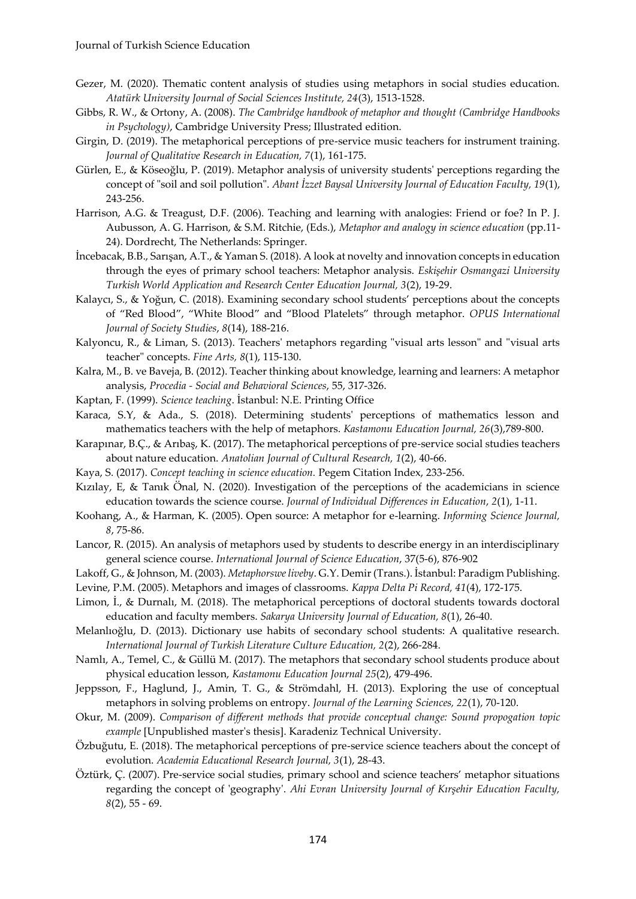- Gezer, M. (2020). Thematic content analysis of studies using metaphors in social studies education. *Atatürk University Journal of Social Sciences Institute, 24*(3), 1513-1528.
- Gibbs, R. W., & Ortony, A. (2008). *The Cambridge handbook of metaphor and thought (Cambridge Handbooks in Psychology)*, Cambridge University Press; Illustrated edition.
- Girgin, D. (2019). The metaphorical perceptions of pre-service music teachers for instrument training. *Journal of Qualitative Research in Education, 7*(1), 161-175.
- Gürlen, E., & Köseoğlu, P. (2019). Metaphor analysis of university students' perceptions regarding the concept of "soil and soil pollution". *Abant İzzet Baysal University Journal of Education Faculty, 19*(1), 243-256.
- Harrison, A.G. & Treagust, D.F. (2006). Teaching and learning with analogies: Friend or foe? In P. J. Aubusson, A. G. Harrison, & S.M. Ritchie, (Eds.), *Metaphor and analogy in science education* (pp.11- 24). Dordrecht, The Netherlands: Springer.
- İncebacak, B.B., Sarışan, A.T., & Yaman S. (2018). A look at novelty and innovation concepts in education through the eyes of primary school teachers: Metaphor analysis. *Eskişehir Osmangazi University Turkish World Application and Research Center Education Journal, 3*(2), 19-29.
- Kalaycı, S., & Yoğun, C. (2018). Examining secondary school students' perceptions about the concepts of "Red Blood", "White Blood" and "Blood Platelets" through metaphor. *OPUS International Journal of Society Studies*, *8*(14), 188-216.
- Kalyoncu, R., & Liman, S. (2013). Teachers' metaphors regarding "visual arts lesson" and "visual arts teacher" concepts. *Fine Arts, 8*(1), 115-130.
- Kalra, M., B. ve Baveja, B. (2012). Teacher thinking about knowledge, learning and learners: A metaphor analysis, *Procedia - Social and Behavioral Sciences*, 55, 317-326.
- Kaptan, F. (1999). *Science teaching*. İstanbul: N.E. Printing Office
- Karaca, S.Y, & Ada., S. (2018). Determining students' perceptions of mathematics lesson and mathematics teachers with the help of metaphors. *Kastamonu Education Journal, 26*(3),789-800.
- Karapınar, B.Ç., & Arıbaş, K. (2017). The metaphorical perceptions of pre-service social studies teachers about nature education. *Anatolian Journal of Cultural Research, 1*(2), 40-66.
- Kaya, S. (2017). *Concept teaching in science education.* Pegem Citation Index, 233-256.
- Kızılay, E, & Tanık Önal, N. (2020). Investigation of the perceptions of the academicians in science education towards the science course. *Journal of Individual Differences in Education*, *2*(1), 1-11.
- Koohang, A., & Harman, K. (2005). Open source: A metaphor for e-learning. *Informing Science Journal, 8*, 75-86.
- Lancor, R. (2015). An analysis of metaphors used by students to describe energy in an interdisciplinary general science course. *International Journal of Science Education*, 37(5-6), 876-902
- Lakoff, G., & Johnson, M. (2003). *Metaphorswe liveby*. G.Y. Demir (Trans.). İstanbul: Paradigm Publishing.
- Levine, P.M. (2005). Metaphors and images of classrooms. *Kappa Delta Pi Record, 41*(4), 172-175.
- Limon, İ., & Durnalı, M. (2018). The metaphorical perceptions of doctoral students towards doctoral education and faculty members. *Sakarya University Journal of Education, 8*(1), 26-40.
- Melanlıoğlu, D. (2013). Dictionary use habits of secondary school students: A qualitative research. *International Journal of Turkish Literature Culture Education, 2*(2), 266-284.
- Namlı, A., Temel, C., & Güllü M. (2017). The metaphors that secondary school students produce about physical education lesson, *Kastamonu Education Journal 25*(2), 479-496.
- Jeppsson, F., Haglund, J., Amin, T. G., & Strömdahl, H. (2013). Exploring the use of conceptual metaphors in solving problems on entropy. *Journal of the Learning Sciences, 22*(1), 70-120.
- Okur, M. (2009). *Comparison of different methods that provide conceptual change: Sound propogation topic example* [Unpublished master's thesis]. Karadeniz Technical University.
- Özbuğutu, E. (2018). The metaphorical perceptions of pre-service science teachers about the concept of evolution. *Academia Educational Research Journal, 3*(1), 28-43.
- Öztürk, Ç. (2007). Pre-service social studies, primary school and science teachers' metaphor situations regarding the concept of 'geography'. *Ahi Evran University Journal of Kırşehir Education Faculty, 8*(2), 55 - 69.